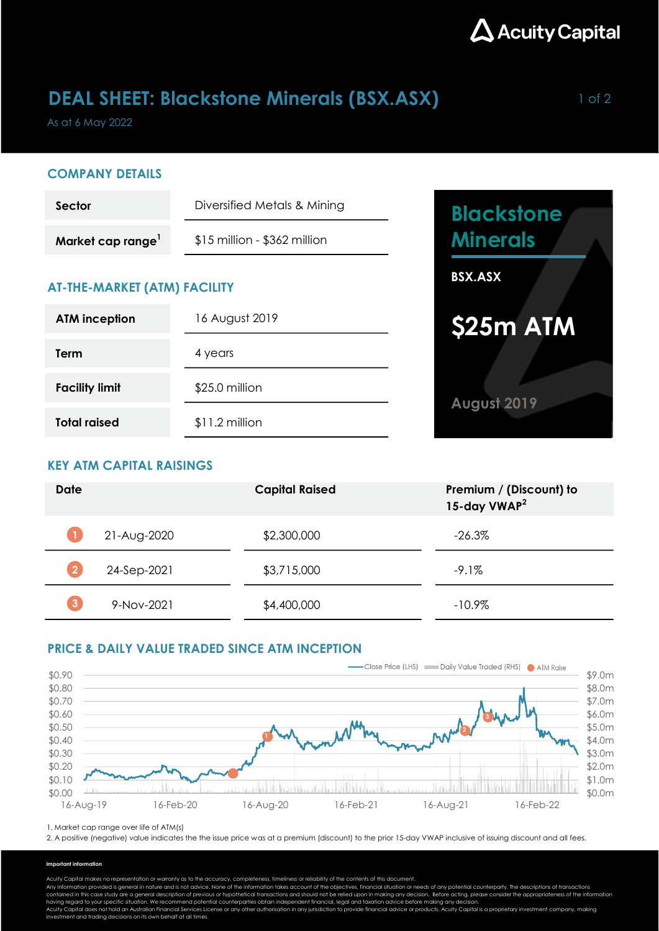

## **DEAL SHEET: Blackstone Minerals (BSX.ASX)** 1 of 2

As at 6 May 2022

### COMPANY DETAILS

| Sector                        | Diversified Metals & Mining    |  |  |
|-------------------------------|--------------------------------|--|--|
| Market cap range <sup>1</sup> | $$15$ million - $$362$ million |  |  |

## AT-THE-MARKET (ATM) FACILITY

| <b>ATM inception</b>  | 16 August 2019  |  |
|-----------------------|-----------------|--|
| Term                  | 4 years         |  |
| <b>Facility limit</b> | \$25.0 million  |  |
| <b>Total raised</b>   | $$11.2$ million |  |



## KEY ATM CAPITAL RAISINGS

| <b>Date</b> |             | <b>Capital Raised</b> | Premium / (Discount) to<br>15-day VWAP <sup>2</sup> |
|-------------|-------------|-----------------------|-----------------------------------------------------|
|             | 21-Aug-2020 | \$2,300,000           | $-26.3%$                                            |
|             | 24-Sep-2021 | \$3,715,000           | $-9.1\%$                                            |
|             | 9-Nov-2021  | \$4,400,000           | $-10.9%$                                            |

## PRICE & DAILY VALUE TRADED SINCE ATM INCEPTION



1. Market cap range over life of ATM(s)

2. A positive (negative) value indicates the the issue price was at a premium (discount) to the prior 15-day VWAP inclusive of issuing discount and all fees.

#### Important information

Acuity Capital makes no representation or warranty as to the accuracy, completeness, timeliness or reliability of the contents of this document.

Any information provided is general in nature and is not advice. None of the information takes account of the objectives, financial situation or needs of any potential counterparty. The descriptions of transactions<br>contain

having regard to your specific situation. We recommend potential counterparties obtain independent financial, legal and taxation advice before making any decision.<br>Acuity Capital does not hold an Australian Financial Servi investment and trading decisions on its own behalf at all times.